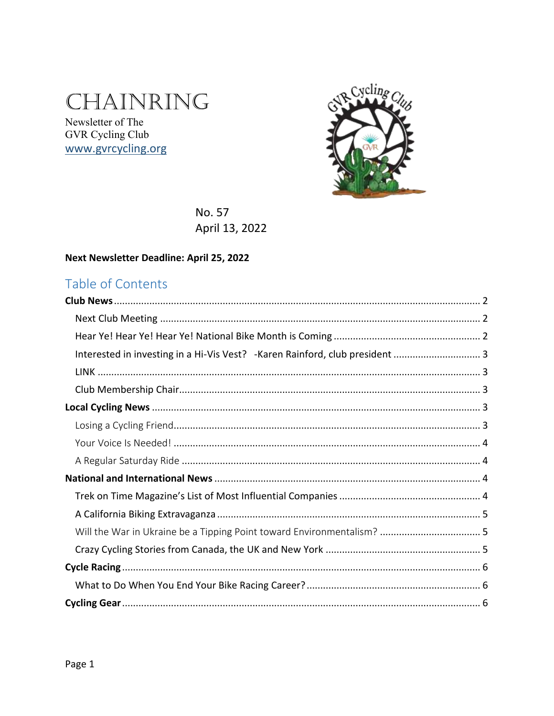# CHAINRING

Newsletter of The GVR Cycling Club www.gvrcycling.org



No. 57 April 13, 2022

### Next Newsletter Deadline: April 25, 2022

# Table of Contents

| Interested in investing in a Hi-Vis Vest? - Karen Rainford, club president  3 |  |
|-------------------------------------------------------------------------------|--|
|                                                                               |  |
|                                                                               |  |
|                                                                               |  |
|                                                                               |  |
|                                                                               |  |
|                                                                               |  |
|                                                                               |  |
|                                                                               |  |
|                                                                               |  |
|                                                                               |  |
|                                                                               |  |
|                                                                               |  |
|                                                                               |  |
|                                                                               |  |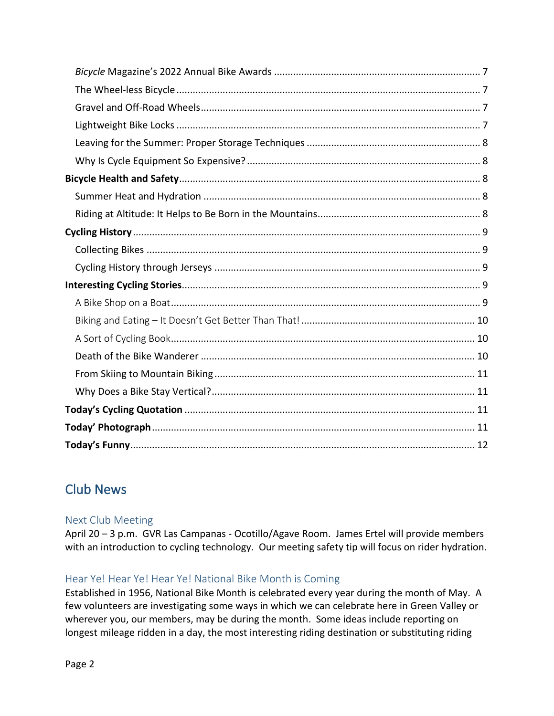# <span id="page-1-0"></span>Club News

### <span id="page-1-1"></span>Next Club Meeting

April 20 – 3 p.m. GVR Las Campanas - Ocotillo/Agave Room. James Ertel will provide members with an introduction to cycling technology. Our meeting safety tip will focus on rider hydration.

### <span id="page-1-2"></span>Hear Ye! Hear Ye! Hear Ye! National Bike Month is Coming

Established in 1956, National Bike Month is celebrated every year during the month of May. A few volunteers are investigating some ways in which we can celebrate here in Green Valley or wherever you, our members, may be during the month. Some ideas include reporting on longest mileage ridden in a day, the most interesting riding destination or substituting riding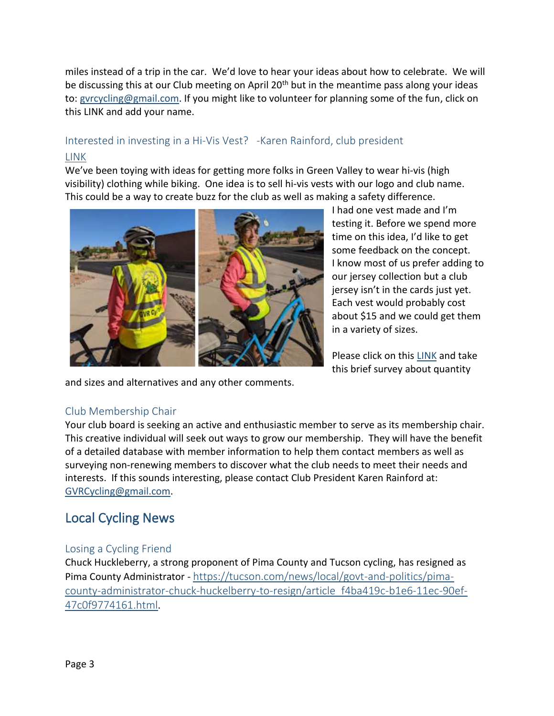miles instead of a trip in the car. We'd love to hear your ideas about how to celebrate. We will be discussing this at our Club meeting on April 20<sup>th</sup> but in the meantime pass along your ideas to: [gvrcycling@gmail.com.](mailto:gvrcycling@gmail.com) If you might like to volunteer for planning some of the fun, click on this LINK and add your name.

### <span id="page-2-1"></span><span id="page-2-0"></span>Interested in investing in a Hi-Vis Vest? -Karen Rainford, club president [LINK](https://forms.gle/YkNYJuWCMMuuf7Vt8)

We've been toying with ideas for getting more folks in Green Valley to wear hi-vis (high visibility) clothing while biking. One idea is to sell hi-vis vests with our logo and club name. This could be a way to create buzz for the club as well as making a safety difference.



and sizes and alternatives and any other comments.

I had one vest made and I'm testing it. Before we spend more time on this idea, I'd like to get some feedback on the concept. I know most of us prefer adding to our jersey collection but a club jersey isn't in the cards just yet. Each vest would probably cost about \$15 and we could get them in a variety of sizes.

Please click on this **LINK** and take this brief survey about quantity

### <span id="page-2-2"></span>Club Membership Chair

Your club board is seeking an active and enthusiastic member to serve as its membership chair. This creative individual will seek out ways to grow our membership. They will have the benefit of a detailed database with member information to help them contact members as well as surveying non-renewing members to discover what the club needs to meet their needs and interests. If this sounds interesting, please contact Club President Karen Rainford at: [GVRCycling@gmail.com.](mailto:GVRCycling@gmail.com)

# <span id="page-2-3"></span>Local Cycling News

#### <span id="page-2-4"></span>Losing a Cycling Friend

Chuck Huckleberry, a strong proponent of Pima County and Tucson cycling, has resigned as Pima County Administrator - [https://tucson.com/news/local/govt-and-politics/pima](https://tucson.com/news/local/govt-and-politics/pima-county-administrator-chuck-huckelberry-to-resign/article_f4ba419c-b1e6-11ec-90ef-47c0f9774161.html)[county-administrator-chuck-huckelberry-to-resign/article\\_f4ba419c-b1e6-11ec-90ef-](https://tucson.com/news/local/govt-and-politics/pima-county-administrator-chuck-huckelberry-to-resign/article_f4ba419c-b1e6-11ec-90ef-47c0f9774161.html)[47c0f9774161.html](https://tucson.com/news/local/govt-and-politics/pima-county-administrator-chuck-huckelberry-to-resign/article_f4ba419c-b1e6-11ec-90ef-47c0f9774161.html).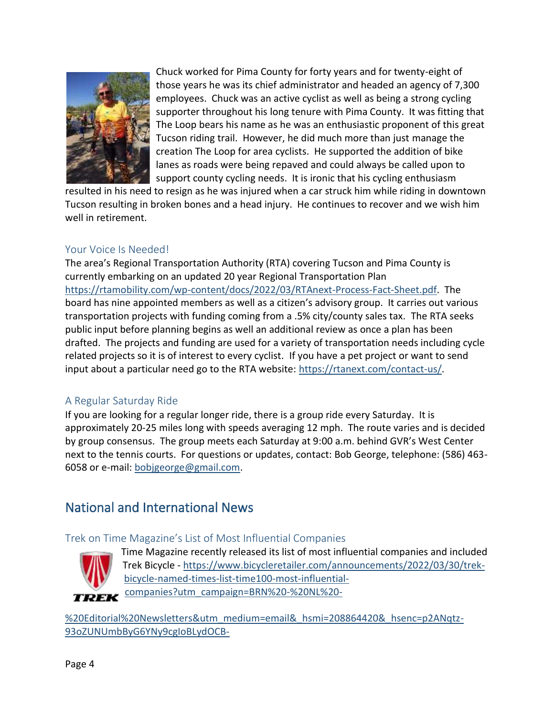

Chuck worked for Pima County for forty years and for twenty-eight of those years he was its chief administrator and headed an agency of 7,300 employees. Chuck was an active cyclist as well as being a strong cycling supporter throughout his long tenure with Pima County. It was fitting that The Loop bears his name as he was an enthusiastic proponent of this great Tucson riding trail. However, he did much more than just manage the creation The Loop for area cyclists. He supported the addition of bike lanes as roads were being repaved and could always be called upon to support county cycling needs. It is ironic that his cycling enthusiasm

resulted in his need to resign as he was injured when a car struck him while riding in downtown Tucson resulting in broken bones and a head injury. He continues to recover and we wish him well in retirement.

#### <span id="page-3-0"></span>Your Voice Is Needed!

The area's Regional Transportation Authority (RTA) covering Tucson and Pima County is currently embarking on an updated 20 year Regional Transportation Plan [https://rtamobility.com/wp-content/docs/2022/03/RTAnext-Process-Fact-Sheet.pdf.](https://rtamobility.com/wp-content/docs/2022/03/RTAnext-Process-Fact-Sheet.pdf) The board has nine appointed members as well as a citizen's advisory group. It carries out various transportation projects with funding coming from a .5% city/county sales tax. The RTA seeks public input before planning begins as well an additional review as once a plan has been drafted. The projects and funding are used for a variety of transportation needs including cycle related projects so it is of interest to every cyclist. If you have a pet project or want to send input about a particular need go to the RTA website: [https://rtanext.com/contact-us/.](https://rtanext.com/contact-us/)

#### <span id="page-3-1"></span>A Regular Saturday Ride

If you are looking for a regular longer ride, there is a group ride every Saturday. It is approximately 20-25 miles long with speeds averaging 12 mph. The route varies and is decided by group consensus. The group meets each Saturday at 9:00 a.m. behind GVR's West Center next to the tennis courts. For questions or updates, contact: Bob George, telephone: (586) 463- 6058 or e-mail[: bobjgeorge@gmail.com.](mailto:bobjgeorge@gmail.com)

# <span id="page-3-2"></span>National and International News

### <span id="page-3-3"></span>Trek on Time Magazine's List of Most Influential Companies



Time Magazine recently released its list of most influential companies and included Trek Bicycle - [https://www.bicycleretailer.com/announcements/2022/03/30/trek](https://www.bicycleretailer.com/announcements/2022/03/30/trek-bicycle-named-times-list-time100-most-influential-companies?utm_campaign=BRN%20-%20NL%20-%20Editorial%20Newsletters&utm_medium=email&_hsmi=208864420&_hsenc=p2ANqtz-93oZUNUmbByG6YNy9cgIoBLydOCB-Rv0cH7BzSkTA5m9WgcS6I3Gnh3_kC1eFzp9pRZJD2fIrkvUoyMCBTiKy61vnj5g&utm_content=208864420&utm_source=hs_email#.YksgGpTMIb4)[bicycle-named-times-list-time100-most-influential](https://www.bicycleretailer.com/announcements/2022/03/30/trek-bicycle-named-times-list-time100-most-influential-companies?utm_campaign=BRN%20-%20NL%20-%20Editorial%20Newsletters&utm_medium=email&_hsmi=208864420&_hsenc=p2ANqtz-93oZUNUmbByG6YNy9cgIoBLydOCB-Rv0cH7BzSkTA5m9WgcS6I3Gnh3_kC1eFzp9pRZJD2fIrkvUoyMCBTiKy61vnj5g&utm_content=208864420&utm_source=hs_email#.YksgGpTMIb4)[companies?utm\\_campaign=BRN%20-%20NL%20-](https://www.bicycleretailer.com/announcements/2022/03/30/trek-bicycle-named-times-list-time100-most-influential-companies?utm_campaign=BRN%20-%20NL%20-%20Editorial%20Newsletters&utm_medium=email&_hsmi=208864420&_hsenc=p2ANqtz-93oZUNUmbByG6YNy9cgIoBLydOCB-Rv0cH7BzSkTA5m9WgcS6I3Gnh3_kC1eFzp9pRZJD2fIrkvUoyMCBTiKy61vnj5g&utm_content=208864420&utm_source=hs_email#.YksgGpTMIb4)

[%20Editorial%20Newsletters&utm\\_medium=email&\\_hsmi=208864420&\\_hsenc=p2ANqtz-](https://www.bicycleretailer.com/announcements/2022/03/30/trek-bicycle-named-times-list-time100-most-influential-companies?utm_campaign=BRN%20-%20NL%20-%20Editorial%20Newsletters&utm_medium=email&_hsmi=208864420&_hsenc=p2ANqtz-93oZUNUmbByG6YNy9cgIoBLydOCB-Rv0cH7BzSkTA5m9WgcS6I3Gnh3_kC1eFzp9pRZJD2fIrkvUoyMCBTiKy61vnj5g&utm_content=208864420&utm_source=hs_email#.YksgGpTMIb4)[93oZUNUmbByG6YNy9cgIoBLydOCB-](https://www.bicycleretailer.com/announcements/2022/03/30/trek-bicycle-named-times-list-time100-most-influential-companies?utm_campaign=BRN%20-%20NL%20-%20Editorial%20Newsletters&utm_medium=email&_hsmi=208864420&_hsenc=p2ANqtz-93oZUNUmbByG6YNy9cgIoBLydOCB-Rv0cH7BzSkTA5m9WgcS6I3Gnh3_kC1eFzp9pRZJD2fIrkvUoyMCBTiKy61vnj5g&utm_content=208864420&utm_source=hs_email#.YksgGpTMIb4)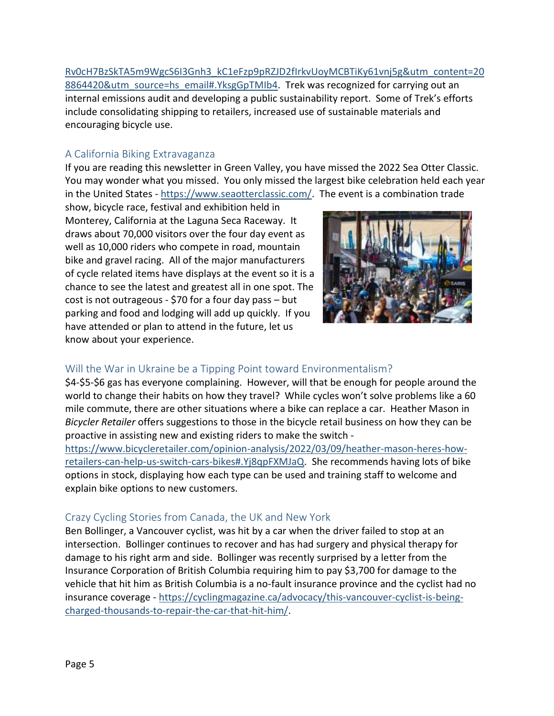[Rv0cH7BzSkTA5m9WgcS6I3Gnh3\\_kC1eFzp9pRZJD2fIrkvUoyMCBTiKy61vnj5g&utm\\_content=20](https://www.bicycleretailer.com/announcements/2022/03/30/trek-bicycle-named-times-list-time100-most-influential-companies?utm_campaign=BRN%20-%20NL%20-%20Editorial%20Newsletters&utm_medium=email&_hsmi=208864420&_hsenc=p2ANqtz-93oZUNUmbByG6YNy9cgIoBLydOCB-Rv0cH7BzSkTA5m9WgcS6I3Gnh3_kC1eFzp9pRZJD2fIrkvUoyMCBTiKy61vnj5g&utm_content=208864420&utm_source=hs_email#.YksgGpTMIb4) [8864420&utm\\_source=hs\\_email#.YksgGpTMIb4.](https://www.bicycleretailer.com/announcements/2022/03/30/trek-bicycle-named-times-list-time100-most-influential-companies?utm_campaign=BRN%20-%20NL%20-%20Editorial%20Newsletters&utm_medium=email&_hsmi=208864420&_hsenc=p2ANqtz-93oZUNUmbByG6YNy9cgIoBLydOCB-Rv0cH7BzSkTA5m9WgcS6I3Gnh3_kC1eFzp9pRZJD2fIrkvUoyMCBTiKy61vnj5g&utm_content=208864420&utm_source=hs_email#.YksgGpTMIb4) Trek was recognized for carrying out an internal emissions audit and developing a public sustainability report. Some of Trek's efforts include consolidating shipping to retailers, increased use of sustainable materials and encouraging bicycle use.

### <span id="page-4-0"></span>A California Biking Extravaganza

If you are reading this newsletter in Green Valley, you have missed the 2022 Sea Otter Classic. You may wonder what you missed. You only missed the largest bike celebration held each year in the United States - [https://www.seaotterclassic.com/.](https://www.seaotterclassic.com/) The event is a combination trade

show, bicycle race, festival and exhibition held in Monterey, California at the Laguna Seca Raceway. It draws about 70,000 visitors over the four day event as well as 10,000 riders who compete in road, mountain bike and gravel racing. All of the major manufacturers of cycle related items have displays at the event so it is a chance to see the latest and greatest all in one spot. The cost is not outrageous - \$70 for a four day pass – but parking and food and lodging will add up quickly. If you have attended or plan to attend in the future, let us know about your experience.



## <span id="page-4-1"></span>Will the War in Ukraine be a Tipping Point toward Environmentalism?

\$4-\$5-\$6 gas has everyone complaining. However, will that be enough for people around the world to change their habits on how they travel? While cycles won't solve problems like a 60 mile commute, there are other situations where a bike can replace a car. Heather Mason in *Bicycler Retailer* offers suggestions to those in the bicycle retail business on how they can be proactive in assisting new and existing riders to make the switch -

[https://www.bicycleretailer.com/opinion-analysis/2022/03/09/heather-mason-heres-how](https://www.bicycleretailer.com/opinion-analysis/2022/03/09/heather-mason-heres-how-retailers-can-help-us-switch-cars-bikes#.Yj8qpFXMJaQ)[retailers-can-help-us-switch-cars-bikes#.Yj8qpFXMJaQ.](https://www.bicycleretailer.com/opinion-analysis/2022/03/09/heather-mason-heres-how-retailers-can-help-us-switch-cars-bikes#.Yj8qpFXMJaQ) She recommends having lots of bike options in stock, displaying how each type can be used and training staff to welcome and explain bike options to new customers.

### <span id="page-4-2"></span>Crazy Cycling Stories from Canada, the UK and New York

Ben Bollinger, a Vancouver cyclist, was hit by a car when the driver failed to stop at an intersection. Bollinger continues to recover and has had surgery and physical therapy for damage to his right arm and side. Bollinger was recently surprised by a letter from the Insurance Corporation of British Columbia requiring him to pay \$3,700 for damage to the vehicle that hit him as British Columbia is a no-fault insurance province and the cyclist had no insurance coverage - [https://cyclingmagazine.ca/advocacy/this-vancouver-cyclist-is-being](https://cyclingmagazine.ca/advocacy/this-vancouver-cyclist-is-being-charged-thousands-to-repair-the-car-that-hit-him/)[charged-thousands-to-repair-the-car-that-hit-him/.](https://cyclingmagazine.ca/advocacy/this-vancouver-cyclist-is-being-charged-thousands-to-repair-the-car-that-hit-him/)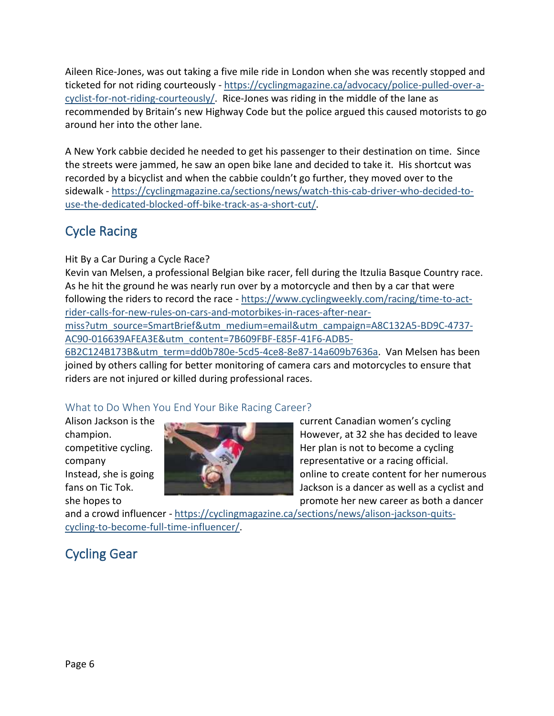Aileen Rice-Jones, was out taking a five mile ride in London when she was recently stopped and ticketed for not riding courteously - [https://cyclingmagazine.ca/advocacy/police-pulled-over-a](https://cyclingmagazine.ca/advocacy/police-pulled-over-a-cyclist-for-not-riding-courteously/)[cyclist-for-not-riding-courteously/.](https://cyclingmagazine.ca/advocacy/police-pulled-over-a-cyclist-for-not-riding-courteously/) Rice-Jones was riding in the middle of the lane as recommended by Britain's new Highway Code but the police argued this caused motorists to go around her into the other lane.

A New York cabbie decided he needed to get his passenger to their destination on time. Since the streets were jammed, he saw an open bike lane and decided to take it. His shortcut was recorded by a bicyclist and when the cabbie couldn't go further, they moved over to the sidewalk - [https://cyclingmagazine.ca/sections/news/watch-this-cab-driver-who-decided-to](https://cyclingmagazine.ca/sections/news/watch-this-cab-driver-who-decided-to-use-the-dedicated-blocked-off-bike-track-as-a-short-cut/)[use-the-dedicated-blocked-off-bike-track-as-a-short-cut/.](https://cyclingmagazine.ca/sections/news/watch-this-cab-driver-who-decided-to-use-the-dedicated-blocked-off-bike-track-as-a-short-cut/)

# <span id="page-5-0"></span>Cycle Racing

Hit By a Car During a Cycle Race?

Kevin van Melsen, a professional Belgian bike racer, fell during the Itzulia Basque Country race. As he hit the ground he was nearly run over by a motorcycle and then by a car that were following the riders to record the race - [https://www.cyclingweekly.com/racing/time-to-act](https://www.cyclingweekly.com/racing/time-to-act-rider-calls-for-new-rules-on-cars-and-motorbikes-in-races-after-near-miss?utm_source=SmartBrief&utm_medium=email&utm_campaign=A8C132A5-BD9C-4737-AC90-016639AFEA3E&utm_content=7B609FBF-E85F-41F6-ADB5-6B2C124B173B&utm_term=dd0b780e-5cd5-4ce8-8e87-14a609b7636a)[rider-calls-for-new-rules-on-cars-and-motorbikes-in-races-after-near](https://www.cyclingweekly.com/racing/time-to-act-rider-calls-for-new-rules-on-cars-and-motorbikes-in-races-after-near-miss?utm_source=SmartBrief&utm_medium=email&utm_campaign=A8C132A5-BD9C-4737-AC90-016639AFEA3E&utm_content=7B609FBF-E85F-41F6-ADB5-6B2C124B173B&utm_term=dd0b780e-5cd5-4ce8-8e87-14a609b7636a)[miss?utm\\_source=SmartBrief&utm\\_medium=email&utm\\_campaign=A8C132A5-BD9C-4737-](https://www.cyclingweekly.com/racing/time-to-act-rider-calls-for-new-rules-on-cars-and-motorbikes-in-races-after-near-miss?utm_source=SmartBrief&utm_medium=email&utm_campaign=A8C132A5-BD9C-4737-AC90-016639AFEA3E&utm_content=7B609FBF-E85F-41F6-ADB5-6B2C124B173B&utm_term=dd0b780e-5cd5-4ce8-8e87-14a609b7636a) [AC90-016639AFEA3E&utm\\_content=7B609FBF-E85F-41F6-ADB5-](https://www.cyclingweekly.com/racing/time-to-act-rider-calls-for-new-rules-on-cars-and-motorbikes-in-races-after-near-miss?utm_source=SmartBrief&utm_medium=email&utm_campaign=A8C132A5-BD9C-4737-AC90-016639AFEA3E&utm_content=7B609FBF-E85F-41F6-ADB5-6B2C124B173B&utm_term=dd0b780e-5cd5-4ce8-8e87-14a609b7636a)

[6B2C124B173B&utm\\_term=dd0b780e-5cd5-4ce8-8e87-14a609b7636a.](https://www.cyclingweekly.com/racing/time-to-act-rider-calls-for-new-rules-on-cars-and-motorbikes-in-races-after-near-miss?utm_source=SmartBrief&utm_medium=email&utm_campaign=A8C132A5-BD9C-4737-AC90-016639AFEA3E&utm_content=7B609FBF-E85F-41F6-ADB5-6B2C124B173B&utm_term=dd0b780e-5cd5-4ce8-8e87-14a609b7636a) Van Melsen has been joined by others calling for better monitoring of camera cars and motorcycles to ensure that riders are not injured or killed during professional races.

## <span id="page-5-1"></span>What to Do When You End Your Bike Racing Career?



Alison Jackson is the current Canadian women's cycling champion. However, at 32 she has decided to leave competitive cycling. Her plan is not to become a cycling company representative or a racing official. Instead, she is going **online to create content for her numerous** fans on Tic Tok. **Jackson is a dancer as well as a cyclist and** Jackson is a dancer as well as a cyclist and she hopes to promote her new career as both a dancer

and a crowd influencer - [https://cyclingmagazine.ca/sections/news/alison-jackson-quits](https://cyclingmagazine.ca/sections/news/alison-jackson-quits-cycling-to-become-full-time-influencer/)[cycling-to-become-full-time-influencer/.](https://cyclingmagazine.ca/sections/news/alison-jackson-quits-cycling-to-become-full-time-influencer/)

# <span id="page-5-2"></span>Cycling Gear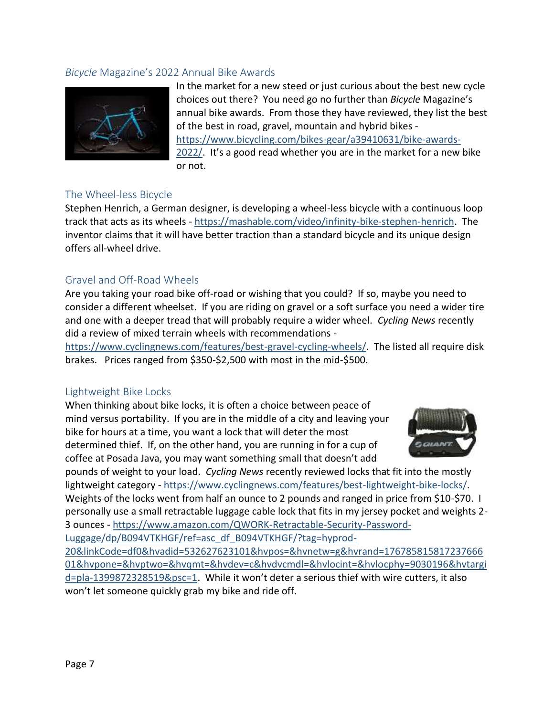#### <span id="page-6-0"></span>*Bicycle* Magazine's 2022 Annual Bike Awards



In the market for a new steed or just curious about the best new cycle choices out there? You need go no further than *Bicycle* Magazine's annual bike awards. From those they have reviewed, they list the best of the best in road, gravel, mountain and hybrid bikes [https://www.bicycling.com/bikes-gear/a39410631/bike-awards-](https://www.bicycling.com/bikes-gear/a39410631/bike-awards-2022/)[2022/](https://www.bicycling.com/bikes-gear/a39410631/bike-awards-2022/). It's a good read whether you are in the market for a new bike or not.

#### <span id="page-6-1"></span>The Wheel-less Bicycle

Stephen Henrich, a German designer, is developing a wheel-less bicycle with a continuous loop track that acts as its wheels - [https://mashable.com/video/infinity-bike-stephen-henrich.](https://mashable.com/video/infinity-bike-stephen-henrich) The inventor claims that it will have better traction than a standard bicycle and its unique design offers all-wheel drive.

#### <span id="page-6-2"></span>Gravel and Off-Road Wheels

Are you taking your road bike off-road or wishing that you could? If so, maybe you need to consider a different wheelset. If you are riding on gravel or a soft surface you need a wider tire and one with a deeper tread that will probably require a wider wheel. *Cycling News* recently did a review of mixed terrain wheels with recommendations -

[https://www.cyclingnews.com/features/best-gravel-cycling-wheels/.](https://www.cyclingnews.com/features/best-gravel-cycling-wheels/) The listed all require disk brakes. Prices ranged from \$350-\$2,500 with most in the mid-\$500.

#### <span id="page-6-3"></span>Lightweight Bike Locks

When thinking about bike locks, it is often a choice between peace of mind versus portability. If you are in the middle of a city and leaving your bike for hours at a time, you want a lock that will deter the most determined thief. If, on the other hand, you are running in for a cup of coffee at Posada Java, you may want something small that doesn't add



pounds of weight to your load. *Cycling News* recently reviewed locks that fit into the mostly lightweight category - [https://www.cyclingnews.com/features/best-lightweight-bike-locks/.](https://www.cyclingnews.com/features/best-lightweight-bike-locks/) Weights of the locks went from half an ounce to 2 pounds and ranged in price from \$10-\$70. I personally use a small retractable luggage cable lock that fits in my jersey pocket and weights 2- 3 ounces - [https://www.amazon.com/QWORK-Retractable-Security-Password-](https://www.amazon.com/QWORK-Retractable-Security-Password-Luggage/dp/B094VTKHGF/ref=asc_df_B094VTKHGF/?tag=hyprod-20&linkCode=df0&hvadid=532627623101&hvpos=&hvnetw=g&hvrand=17678581581723766601&hvpone=&hvptwo=&hvqmt=&hvdev=c&hvdvcmdl=&hvlocint=&hvlocphy=9030196&hvtargid=pla-1399872328519&psc=1)

[Luggage/dp/B094VTKHGF/ref=asc\\_df\\_B094VTKHGF/?tag=hyprod-](https://www.amazon.com/QWORK-Retractable-Security-Password-Luggage/dp/B094VTKHGF/ref=asc_df_B094VTKHGF/?tag=hyprod-20&linkCode=df0&hvadid=532627623101&hvpos=&hvnetw=g&hvrand=17678581581723766601&hvpone=&hvptwo=&hvqmt=&hvdev=c&hvdvcmdl=&hvlocint=&hvlocphy=9030196&hvtargid=pla-1399872328519&psc=1)

[20&linkCode=df0&hvadid=532627623101&hvpos=&hvnetw=g&hvrand=176785815817237666](https://www.amazon.com/QWORK-Retractable-Security-Password-Luggage/dp/B094VTKHGF/ref=asc_df_B094VTKHGF/?tag=hyprod-20&linkCode=df0&hvadid=532627623101&hvpos=&hvnetw=g&hvrand=17678581581723766601&hvpone=&hvptwo=&hvqmt=&hvdev=c&hvdvcmdl=&hvlocint=&hvlocphy=9030196&hvtargid=pla-1399872328519&psc=1) [01&hvpone=&hvptwo=&hvqmt=&hvdev=c&hvdvcmdl=&hvlocint=&hvlocphy=9030196&hvtargi](https://www.amazon.com/QWORK-Retractable-Security-Password-Luggage/dp/B094VTKHGF/ref=asc_df_B094VTKHGF/?tag=hyprod-20&linkCode=df0&hvadid=532627623101&hvpos=&hvnetw=g&hvrand=17678581581723766601&hvpone=&hvptwo=&hvqmt=&hvdev=c&hvdvcmdl=&hvlocint=&hvlocphy=9030196&hvtargid=pla-1399872328519&psc=1) [d=pla-1399872328519&psc=1](https://www.amazon.com/QWORK-Retractable-Security-Password-Luggage/dp/B094VTKHGF/ref=asc_df_B094VTKHGF/?tag=hyprod-20&linkCode=df0&hvadid=532627623101&hvpos=&hvnetw=g&hvrand=17678581581723766601&hvpone=&hvptwo=&hvqmt=&hvdev=c&hvdvcmdl=&hvlocint=&hvlocphy=9030196&hvtargid=pla-1399872328519&psc=1). While it won't deter a serious thief with wire cutters, it also won't let someone quickly grab my bike and ride off.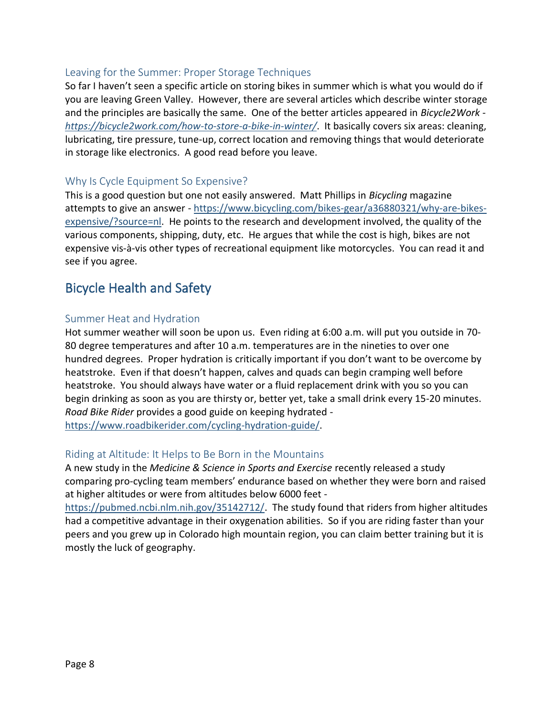#### <span id="page-7-0"></span>Leaving for the Summer: Proper Storage Techniques

So far I haven't seen a specific article on storing bikes in summer which is what you would do if you are leaving Green Valley. However, there are several articles which describe winter storage and the principles are basically the same. One of the better articles appeared in *Bicycle2Work <https://bicycle2work.com/how-to-store-a-bike-in-winter/>*. It basically covers six areas: cleaning, lubricating, tire pressure, tune-up, correct location and removing things that would deteriorate in storage like electronics. A good read before you leave.

#### <span id="page-7-1"></span>Why Is Cycle Equipment So Expensive?

This is a good question but one not easily answered. Matt Phillips in *Bicycling* magazine attempts to give an answer - https://www.bicycling.com/bikes-gear/a36880321/why-are-bikesexpensive/?source=nl. He points to the research and development involved, the quality of the various components, shipping, duty, etc. He argues that while the cost is high, bikes are not expensive vis-à-vis other types of recreational equipment like motorcycles. You can read it and see if you agree.

# <span id="page-7-2"></span>Bicycle Health and Safety

#### <span id="page-7-3"></span>Summer Heat and Hydration

Hot summer weather will soon be upon us. Even riding at 6:00 a.m. will put you outside in 70- 80 degree temperatures and after 10 a.m. temperatures are in the nineties to over one hundred degrees. Proper hydration is critically important if you don't want to be overcome by heatstroke. Even if that doesn't happen, calves and quads can begin cramping well before heatstroke. You should always have water or a fluid replacement drink with you so you can begin drinking as soon as you are thirsty or, better yet, take a small drink every 15-20 minutes. *Road Bike Rider* provides a good guide on keeping hydrated [https://www.roadbikerider.com/cycling-hydration-guide/.](https://www.roadbikerider.com/cycling-hydration-guide/)

#### <span id="page-7-4"></span>Riding at Altitude: It Helps to Be Born in the Mountains

A new study in the *Medicine & Science in Sports and Exercise* recently released a study comparing pro-cycling team members' endurance based on whether they were born and raised at higher altitudes or were from altitudes below 6000 feet -

[https://pubmed.ncbi.nlm.nih.gov/35142712/.](https://pubmed.ncbi.nlm.nih.gov/35142712/) The study found that riders from higher altitudes had a competitive advantage in their oxygenation abilities. So if you are riding faster than your peers and you grew up in Colorado high mountain region, you can claim better training but it is mostly the luck of geography.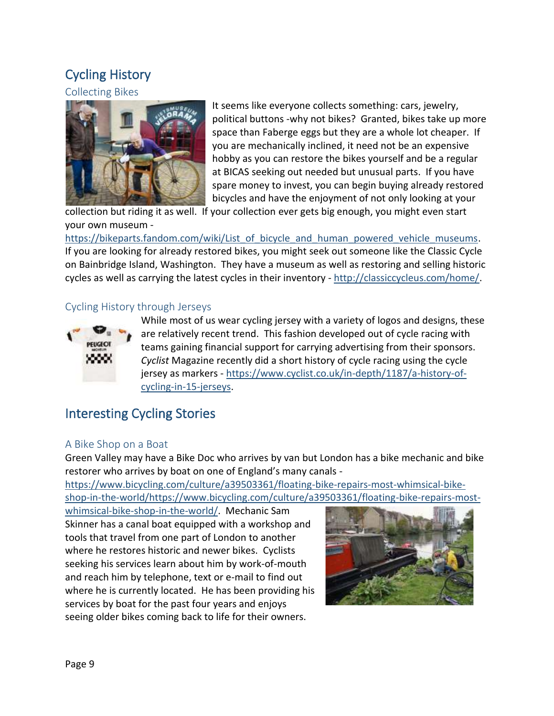# <span id="page-8-0"></span>Cycling History

### <span id="page-8-1"></span>Collecting Bikes



It seems like everyone collects something: cars, jewelry, political buttons -why not bikes? Granted, bikes take up more space than Faberge eggs but they are a whole lot cheaper. If you are mechanically inclined, it need not be an expensive hobby as you can restore the bikes yourself and be a regular at BICAS seeking out needed but unusual parts. If you have spare money to invest, you can begin buying already restored bicycles and have the enjoyment of not only looking at your

collection but riding it as well. If your collection ever gets big enough, you might even start your own museum -

[https://bikeparts.fandom.com/wiki/List\\_of\\_bicycle\\_and\\_human\\_powered\\_vehicle\\_museums.](https://bikeparts.fandom.com/wiki/List_of_bicycle_and_human_powered_vehicle_museums) If you are looking for already restored bikes, you might seek out someone like the Classic Cycle on Bainbridge Island, Washington. They have a museum as well as restoring and selling historic cycles as well as carrying the latest cycles in their inventory - [http://classiccycleus.com/home/.](http://classiccycleus.com/home/)

### <span id="page-8-2"></span>Cycling History through Jerseys



While most of us wear cycling jersey with a variety of logos and designs, these are relatively recent trend. This fashion developed out of cycle racing with teams gaining financial support for carrying advertising from their sponsors. *Cyclist* Magazine recently did a short history of cycle racing using the cycle jersey as markers - [https://www.cyclist.co.uk/in-depth/1187/a-history-of](https://www.cyclist.co.uk/in-depth/1187/a-history-of-cycling-in-15-jerseys)[cycling-in-15-jerseys.](https://www.cyclist.co.uk/in-depth/1187/a-history-of-cycling-in-15-jerseys)

# <span id="page-8-3"></span>Interesting Cycling Stories

#### <span id="page-8-4"></span>A Bike Shop on a Boat

Green Valley may have a Bike Doc who arrives by van but London has a bike mechanic and bike restorer who arrives by boat on one of England's many canals -

[https://www.bicycling.com/culture/a39503361/floating-bike-repairs-most-whimsical-bike](https://www.bicycling.com/culture/a39503361/floating-bike-repairs-most-whimsical-bike-shop-in-the-world/https:/www.bicycling.com/culture/a39503361/floating-bike-repairs-most-whimsical-bike-shop-in-the-world/)[shop-in-the-world/https://www.bicycling.com/culture/a39503361/floating-bike-repairs-most-](https://www.bicycling.com/culture/a39503361/floating-bike-repairs-most-whimsical-bike-shop-in-the-world/https:/www.bicycling.com/culture/a39503361/floating-bike-repairs-most-whimsical-bike-shop-in-the-world/)

[whimsical-bike-shop-in-the-world/.](https://www.bicycling.com/culture/a39503361/floating-bike-repairs-most-whimsical-bike-shop-in-the-world/https:/www.bicycling.com/culture/a39503361/floating-bike-repairs-most-whimsical-bike-shop-in-the-world/) Mechanic Sam Skinner has a canal boat equipped with a workshop and tools that travel from one part of London to another where he restores historic and newer bikes. Cyclists seeking his services learn about him by work-of-mouth and reach him by telephone, text or e-mail to find out where he is currently located. He has been providing his services by boat for the past four years and enjoys seeing older bikes coming back to life for their owners.

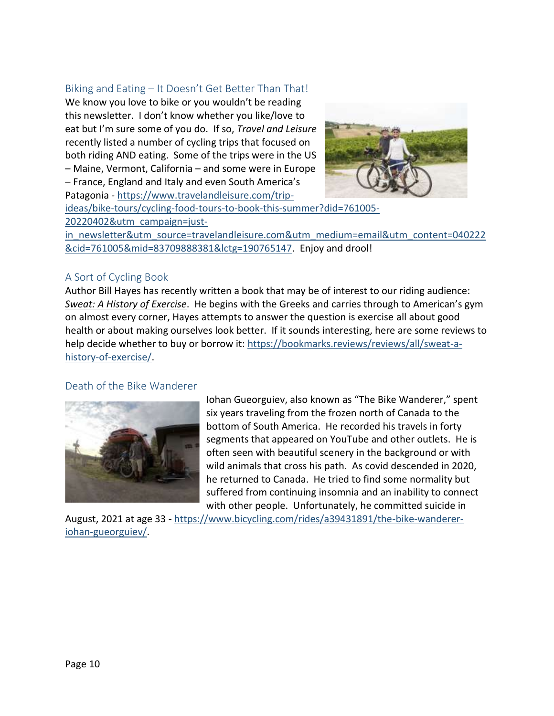#### <span id="page-9-0"></span>Biking and Eating – It Doesn't Get Better Than That!

We know you love to bike or you wouldn't be reading this newsletter. I don't know whether you like/love to eat but I'm sure some of you do. If so, *Travel and Leisure* recently listed a number of cycling trips that focused on both riding AND eating. Some of the trips were in the US – Maine, Vermont, California – and some were in Europe – France, England and Italy and even South America's Patagonia - [https://www.travelandleisure.com/trip-](https://www.travelandleisure.com/trip-ideas/bike-tours/cycling-food-tours-to-book-this-summer?did=761005-20220402&utm_campaign=just-in_newsletter&utm_source=travelandleisure.com&utm_medium=email&utm_content=040222&cid=761005&mid=83709888381&lctg=190765147)



[ideas/bike-tours/cycling-food-tours-to-book-this-summer?did=761005-](https://www.travelandleisure.com/trip-ideas/bike-tours/cycling-food-tours-to-book-this-summer?did=761005-20220402&utm_campaign=just-in_newsletter&utm_source=travelandleisure.com&utm_medium=email&utm_content=040222&cid=761005&mid=83709888381&lctg=190765147) [20220402&utm\\_campaign=just-](https://www.travelandleisure.com/trip-ideas/bike-tours/cycling-food-tours-to-book-this-summer?did=761005-20220402&utm_campaign=just-in_newsletter&utm_source=travelandleisure.com&utm_medium=email&utm_content=040222&cid=761005&mid=83709888381&lctg=190765147)

in newsletter&utm\_source=travelandleisure.com&utm\_medium=email&utm\_content=040222 [&cid=761005&mid=83709888381&lctg=190765147.](https://www.travelandleisure.com/trip-ideas/bike-tours/cycling-food-tours-to-book-this-summer?did=761005-20220402&utm_campaign=just-in_newsletter&utm_source=travelandleisure.com&utm_medium=email&utm_content=040222&cid=761005&mid=83709888381&lctg=190765147) Enjoy and drool!

#### <span id="page-9-1"></span>A Sort of Cycling Book

Author Bill Hayes has recently written a book that may be of interest to our riding audience: *Sweat: A History of Exercise*. He begins with the Greeks and carries through to American's gym on almost every corner, Hayes attempts to answer the question is exercise all about good health or about making ourselves look better. If it sounds interesting, here are some reviews to help decide whether to buy or borrow it: [https://bookmarks.reviews/reviews/all/sweat-a](https://bookmarks.reviews/reviews/all/sweat-a-history-of-exercise/)[history-of-exercise/.](https://bookmarks.reviews/reviews/all/sweat-a-history-of-exercise/)

#### <span id="page-9-2"></span>Death of the Bike Wanderer



Iohan Gueorguiev, also known as "The Bike Wanderer," spent six years traveling from the frozen north of Canada to the bottom of South America. He recorded his travels in forty segments that appeared on YouTube and other outlets. He is often seen with beautiful scenery in the background or with wild animals that cross his path. As covid descended in 2020, he returned to Canada. He tried to find some normality but suffered from continuing insomnia and an inability to connect with other people. Unfortunately, he committed suicide in

August, 2021 at age 33 - [https://www.bicycling.com/rides/a39431891/the-bike-wanderer](https://www.bicycling.com/rides/a39431891/the-bike-wanderer-iohan-gueorguiev/)[iohan-gueorguiev/.](https://www.bicycling.com/rides/a39431891/the-bike-wanderer-iohan-gueorguiev/)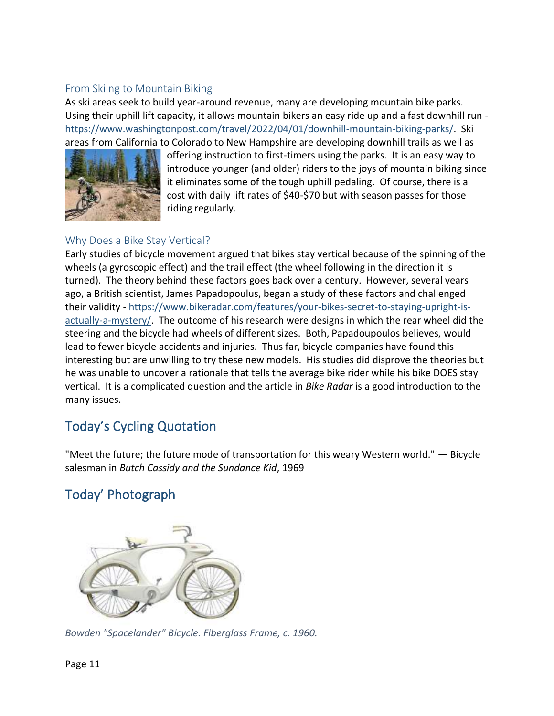### <span id="page-10-0"></span>From Skiing to Mountain Biking

As ski areas seek to build year-around revenue, many are developing mountain bike parks. Using their uphill lift capacity, it allows mountain bikers an easy ride up and a fast downhill run [https://www.washingtonpost.com/travel/2022/04/01/downhill-mountain-biking-parks/.](https://www.washingtonpost.com/travel/2022/04/01/downhill-mountain-biking-parks/) Ski areas from California to Colorado to New Hampshire are developing downhill trails as well as



offering instruction to first-timers using the parks. It is an easy way to introduce younger (and older) riders to the joys of mountain biking since it eliminates some of the tough uphill pedaling. Of course, there is a cost with daily lift rates of \$40-\$70 but with season passes for those riding regularly.

### <span id="page-10-1"></span>Why Does a Bike Stay Vertical?

Early studies of bicycle movement argued that bikes stay vertical because of the spinning of the wheels (a gyroscopic effect) and the trail effect (the wheel following in the direction it is turned). The theory behind these factors goes back over a century. However, several years ago, a British scientist, James Papadopoulus, began a study of these factors and challenged their validity - [https://www.bikeradar.com/features/your-bikes-secret-to-staying-upright-is](https://www.bikeradar.com/features/your-bikes-secret-to-staying-upright-is-actually-a-mystery/)[actually-a-mystery/.](https://www.bikeradar.com/features/your-bikes-secret-to-staying-upright-is-actually-a-mystery/) The outcome of his research were designs in which the rear wheel did the steering and the bicycle had wheels of different sizes. Both, Papadoupoulos believes, would lead to fewer bicycle accidents and injuries. Thus far, bicycle companies have found this interesting but are unwilling to try these new models. His studies did disprove the theories but he was unable to uncover a rationale that tells the average bike rider while his bike DOES stay vertical. It is a complicated question and the article in *Bike Radar* is a good introduction to the many issues.

# <span id="page-10-2"></span>Today's Cycling Quotation

"Meet the future; the future mode of transportation for this weary Western world." — Bicycle salesman in *Butch Cassidy and the Sundance Kid*, 1969

# <span id="page-10-3"></span>Today' Photograph



*Bowden "Spacelander" Bicycle. Fiberglass Frame, c. 1960.*